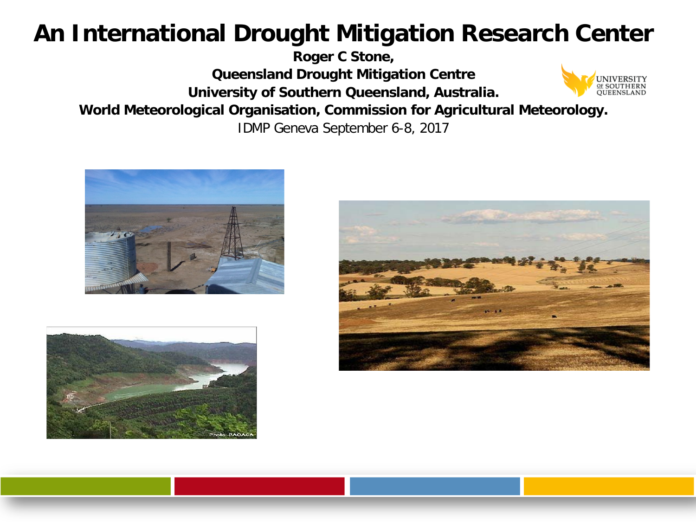# **An International Drought Mitigation Research Center**

**Roger C Stone,** 

**Queensland Drought Mitigation Centre**

**University of Southern Queensland, Australia.**



**World Meteorological Organisation, Commission for Agricultural Meteorology.**

IDMP Geneva September 6-8, 2017





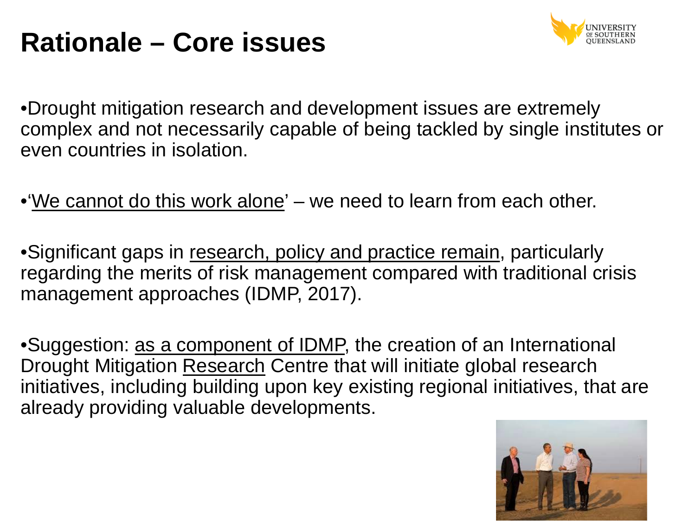# **Rationale – Core issues**



•Drought mitigation research and development issues are extremely complex and not necessarily capable of being tackled by single institutes or even countries in isolation.

•'We cannot do this work alone'  $-$  we need to learn from each other.

• Significant gaps in research, policy and practice remain, particularly regarding the merits of risk management compared with traditional crisis management approaches (IDMP, 2017).

•Suggestion: as a component of IDMP, the creation of an International Drought Mitigation Research Centre that will initiate global research initiatives, including building upon key existing regional initiatives, that are already providing valuable developments.

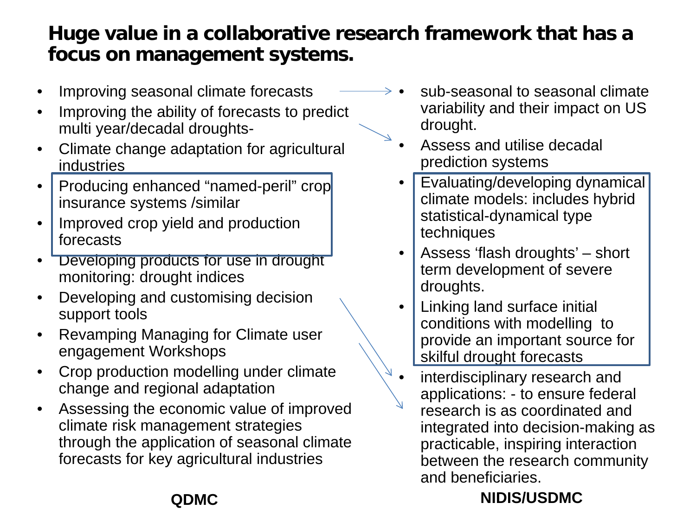## **Huge value in a collaborative research framework that has a focus on management systems.**

- Improving seasonal climate forecasts
- Improving the ability of forecasts to predict multi year/decadal droughts-
- Climate change adaptation for agricultural industries
- Producing enhanced "named-peril" crop insurance systems /similar
- Improved crop yield and production forecasts
- Developing products for use in drought monitoring: drought indices
- Developing and customising decision support tools
- Revamping Managing for Climate user engagement Workshops
- Crop production modelling under climate change and regional adaptation
- Assessing the economic value of improved climate risk management strategies through the application of seasonal climate forecasts for key agricultural industries
- sub-seasonal to seasonal climate variability and their impact on US drought.
- Assess and utilise decadal prediction systems
- Evaluating/developing dynamical climate models: includes hybrid statistical-dynamical type techniques
- Assess 'flash droughts' short term development of severe droughts.
- Linking land surface initial conditions with modelling to provide an important source for skilful drought forecasts
- interdisciplinary research and applications: - to ensure federal research is as coordinated and integrated into decision-making as practicable, inspiring interaction between the research community and beneficiaries.

### **NIDIS/USDMC**

### **QDMC**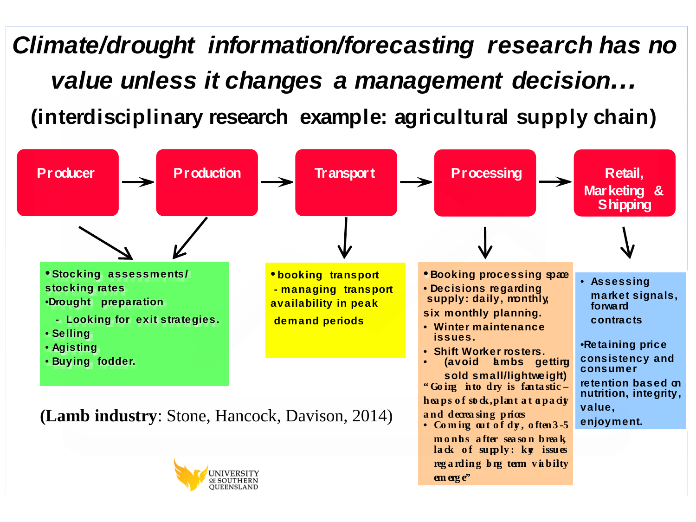*Climate/drought information/forecasting research has no value unless it changes a management decision…* **(interdisciplinary research example: agricultural supply chain)**